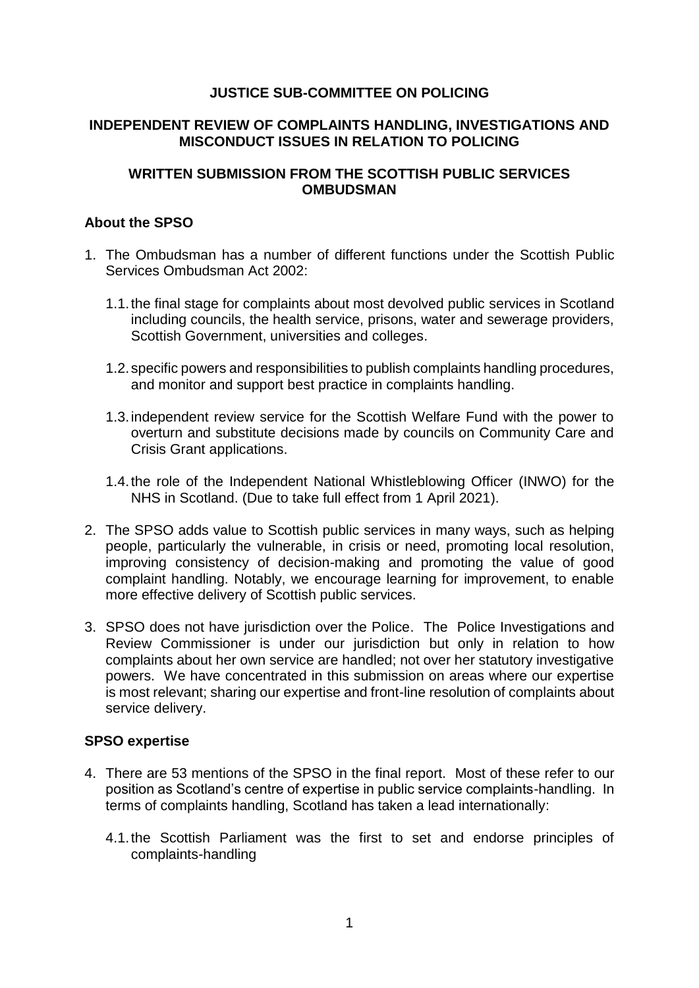# **JUSTICE SUB-COMMITTEE ON POLICING**

## **INDEPENDENT REVIEW OF COMPLAINTS HANDLING, INVESTIGATIONS AND MISCONDUCT ISSUES IN RELATION TO POLICING**

# **WRITTEN SUBMISSION FROM THE SCOTTISH PUBLIC SERVICES OMBUDSMAN**

### **About the SPSO**

- 1. The Ombudsman has a number of different functions under the Scottish Public Services Ombudsman Act 2002:
	- 1.1.the final stage for complaints about most devolved public services in Scotland including councils, the health service, prisons, water and sewerage providers, Scottish Government, universities and colleges.
	- 1.2.specific powers and responsibilities to publish complaints handling procedures, and monitor and support best practice in complaints handling.
	- 1.3.independent review service for the Scottish Welfare Fund with the power to overturn and substitute decisions made by councils on Community Care and Crisis Grant applications.
	- 1.4.the role of the Independent National Whistleblowing Officer (INWO) for the NHS in Scotland. (Due to take full effect from 1 April 2021).
- 2. The SPSO adds value to Scottish public services in many ways, such as helping people, particularly the vulnerable, in crisis or need, promoting local resolution, improving consistency of decision-making and promoting the value of good complaint handling. Notably, we encourage learning for improvement, to enable more effective delivery of Scottish public services.
- 3. SPSO does not have jurisdiction over the Police. The Police Investigations and Review Commissioner is under our jurisdiction but only in relation to how complaints about her own service are handled; not over her statutory investigative powers. We have concentrated in this submission on areas where our expertise is most relevant; sharing our expertise and front-line resolution of complaints about service delivery.

## **SPSO expertise**

- 4. There are 53 mentions of the SPSO in the final report. Most of these refer to our position as Scotland's centre of expertise in public service complaints-handling. In terms of complaints handling, Scotland has taken a lead internationally:
	- 4.1.the Scottish Parliament was the first to set and endorse principles of complaints-handling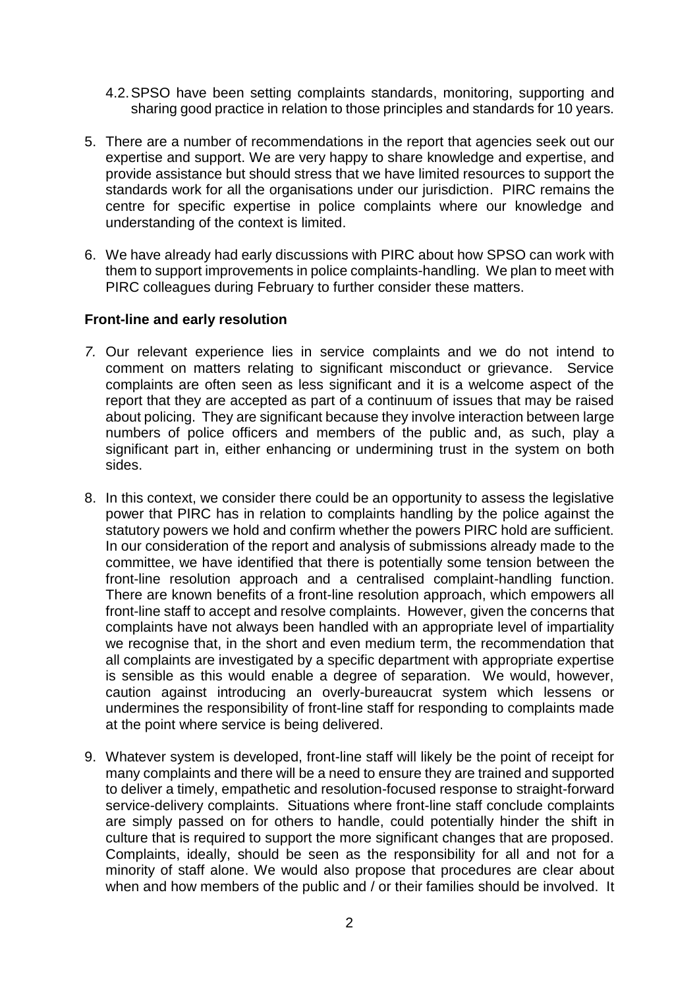- 4.2.SPSO have been setting complaints standards, monitoring, supporting and sharing good practice in relation to those principles and standards for 10 years.
- 5. There are a number of recommendations in the report that agencies seek out our expertise and support. We are very happy to share knowledge and expertise, and provide assistance but should stress that we have limited resources to support the standards work for all the organisations under our jurisdiction. PIRC remains the centre for specific expertise in police complaints where our knowledge and understanding of the context is limited.
- 6. We have already had early discussions with PIRC about how SPSO can work with them to support improvements in police complaints-handling. We plan to meet with PIRC colleagues during February to further consider these matters.

#### **Front-line and early resolution**

- *7.* Our relevant experience lies in service complaints and we do not intend to comment on matters relating to significant misconduct or grievance. Service complaints are often seen as less significant and it is a welcome aspect of the report that they are accepted as part of a continuum of issues that may be raised about policing. They are significant because they involve interaction between large numbers of police officers and members of the public and, as such, play a significant part in, either enhancing or undermining trust in the system on both sides.
- 8. In this context, we consider there could be an opportunity to assess the legislative power that PIRC has in relation to complaints handling by the police against the statutory powers we hold and confirm whether the powers PIRC hold are sufficient. In our consideration of the report and analysis of submissions already made to the committee, we have identified that there is potentially some tension between the front-line resolution approach and a centralised complaint-handling function. There are known benefits of a front-line resolution approach, which empowers all front-line staff to accept and resolve complaints. However, given the concerns that complaints have not always been handled with an appropriate level of impartiality we recognise that, in the short and even medium term, the recommendation that all complaints are investigated by a specific department with appropriate expertise is sensible as this would enable a degree of separation. We would, however, caution against introducing an overly-bureaucrat system which lessens or undermines the responsibility of front-line staff for responding to complaints made at the point where service is being delivered.
- 9. Whatever system is developed, front-line staff will likely be the point of receipt for many complaints and there will be a need to ensure they are trained and supported to deliver a timely, empathetic and resolution-focused response to straight-forward service-delivery complaints. Situations where front-line staff conclude complaints are simply passed on for others to handle, could potentially hinder the shift in culture that is required to support the more significant changes that are proposed. Complaints, ideally, should be seen as the responsibility for all and not for a minority of staff alone. We would also propose that procedures are clear about when and how members of the public and / or their families should be involved. It